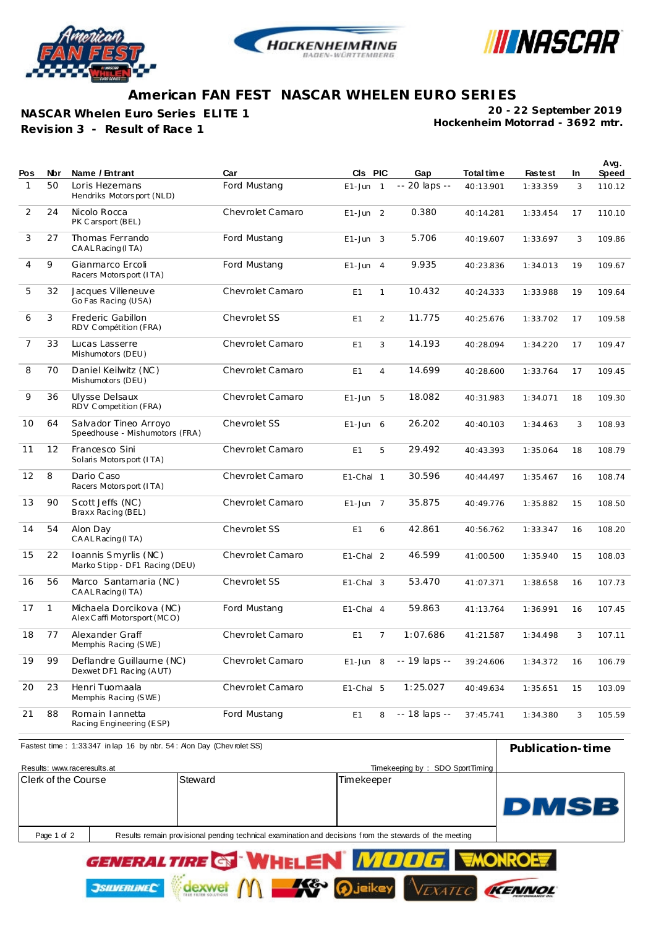





## **American FAN FEST NASCAR WHELEN EURO SERIES**

**NASCAR Whelen Euro Series ELITE 1**

**Revision 3 - Result of Race 1**

**JSILVERLINEC** 

dexwe

**Hockenheim Motorrad - 3692 mtr. 20 - 22 September 2019**

| Pos            | Nbr          | Name / Entrant                                          | Car              | CIs PIC       |                | Gap           | Total time | <b>Fastest</b> | In | Avg.<br>Speed |
|----------------|--------------|---------------------------------------------------------|------------------|---------------|----------------|---------------|------------|----------------|----|---------------|
| 1              | 50           | Loris Hezemans<br>Hendriks Motorsport (NLD)             | Ford Mustang     | $E1$ -Jun 1   |                | -- 20 laps -- | 40:13.901  | 1:33.359       | 3  | 110.12        |
| 2              | 24           | Nicolo Rocca<br>PK Carsport (BEL)                       | Chevrolet Camaro | $E1$ -Jun 2   |                | 0.380         | 40:14.281  | 1:33.454       | 17 | 110.10        |
| 3              | 27           | Thomas Ferrando<br>CAAL Racing (ITA)                    | Ford Mustang     | $E1$ -Jun 3   |                | 5.706         | 40:19.607  | 1:33.697       | 3  | 109.86        |
| 4              | 9            | Gianmarco Ercoli<br>Racers Motorsport (ITA)             | Ford Mustang     | $E1 - Jun$    | $\overline{4}$ | 9.935         | 40:23.836  | 1:34.013       | 19 | 109.67        |
| 5              | 32           | Jacques Villeneuve<br>Go Fas Racing (USA)               | Chevrolet Camaro | E1            | $\mathbf{1}$   | 10.432        | 40:24.333  | 1:33.988       | 19 | 109.64        |
| 6              | 3            | Frederic Gabillon<br>RDV Compétition (FRA)              | Chevrolet SS     | E1            | $\overline{2}$ | 11.775        | 40:25.676  | 1:33.702       | 17 | 109.58        |
| $\overline{7}$ | 33           | Lucas Lasserre<br>Mishumotors (DEU)                     | Chevrolet Camaro | E1            | 3              | 14.193        | 40:28.094  | 1:34.220       | 17 | 109.47        |
| 8              | 70           | Daniel Keilwitz (NC)<br>Mishumotors (DEU)               | Chevrolet Camaro | E1            | $\overline{4}$ | 14.699        | 40:28.600  | 1:33.764       | 17 | 109.45        |
| 9              | 36           | Ulysse Delsaux<br>RDV Competition (FRA)                 | Chevrolet Camaro | $E1 - Jun$    | -5             | 18.082        | 40:31.983  | 1:34.071       | 18 | 109.30        |
| 10             | 64           | Salvador Tineo Arroyo<br>Speedhouse - Mishumotors (FRA) | Chevrolet SS     | $E1 - Jun$    | 6              | 26.202        | 40:40.103  | 1:34.463       | 3  | 108.93        |
| 11             | 12           | Francesco Sini<br>Solaris Motorsport (ITA)              | Chevrolet Camaro | E1            | 5              | 29.492        | 40:43.393  | 1:35.064       | 18 | 108.79        |
| 12             | 8            | Dario Caso<br>Racers Motorsport (ITA)                   | Chevrolet Camaro | E1-Cha 1      |                | 30.596        | 40:44.497  | 1:35.467       | 16 | 108.74        |
| 13             | 90           | Scott Jeffs (NC)<br>Braxx Racing (BEL)                  | Chevrolet Camaro | $E1$ -Jun 7   |                | 35.875        | 40:49.776  | 1:35.882       | 15 | 108.50        |
| 14             | 54           | Alon Day<br>CAAL Racing (ITA)                           | Chevrolet SS     | E1            | 6              | 42.861        | 40:56.762  | 1:33.347       | 16 | 108.20        |
| 15             | 22           | Ioannis Smyrlis (NC)<br>Marko Stipp - DF1 Racing (DEU)  | Chevrolet Camaro | $E1$ -Cha $2$ |                | 46.599        | 41:00.500  | 1:35.940       | 15 | 108.03        |
| 16             | 56           | Marco Santamaria (NC)<br>CAAL Racing (ITA)              | Chevrolet SS     | $E1$ -Cha $3$ |                | 53.470        | 41:07.371  | 1:38.658       | 16 | 107.73        |
| 17             | $\mathbf{1}$ | Michaela Dorcikova (NC)<br>Alex Caffi Motorsport (MCO)  | Ford Mustang     | E1-Cha 4      |                | 59.863        | 41:13.764  | 1:36.991       | 16 | 107.45        |
| 18             | 77           | Alexander Graff<br>Memphis Racing (SWE)                 | Chevrolet Camaro | E1            | $\overline{7}$ | 1:07.686      | 41:21.587  | 1:34.498       | 3  | 107.11        |
| 19             | 99           | Deflandre Guillaume (NC)<br>Dexwet DF1 Racing (AUT)     | Chevrolet Camaro | $E1 - Jun$    | 8              | -- 19 laps -- | 39:24.606  | 1:34.372       | 16 | 106.79        |
| 20             | 23           | Henri Tuomaala<br>Memphis Racing (SWE)                  | Chevrolet Camaro | $E1$ -Cha 5   |                | 1:25.027      | 40:49.634  | 1:35.651       | 15 | 103.09        |
| 21             | 88           | Romain I annetta<br>Racing Engineering (ESP)            | Ford Mustang     | E1            | 8              | -- 18 laps -- | 37:45.741  | 1:34.380       | 3  | 105.59        |



K¢

<u>ieiker</u>

KENNO